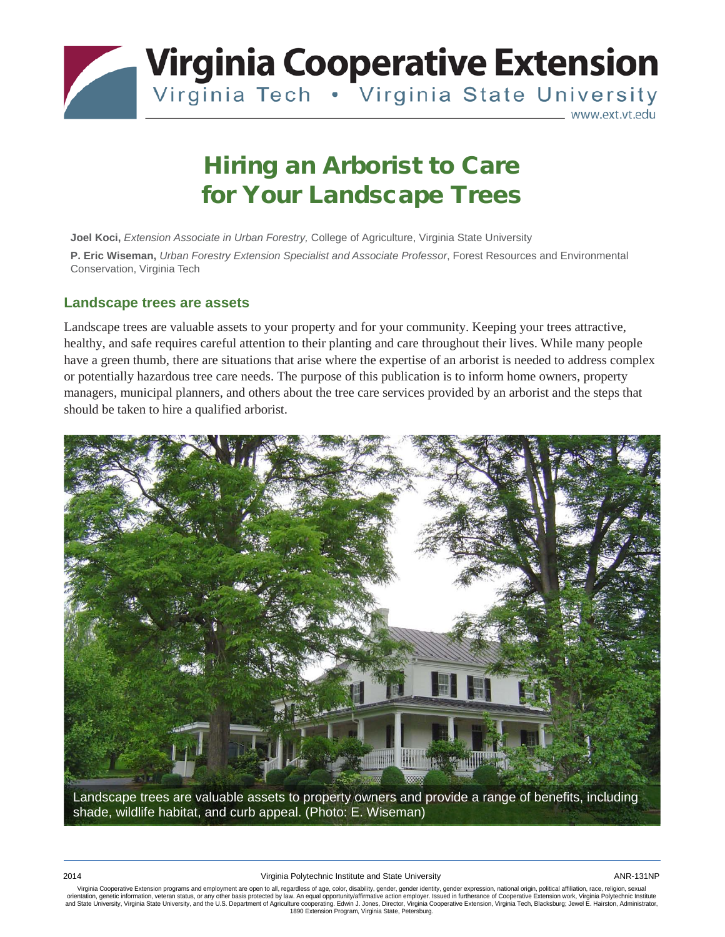

# Hiring an Arborist to Care for Your Landscape Trees

**Joel Koci,** *Extension Associate in Urban Forestry,* College of Agriculture, Virginia State University **P. Eric Wiseman,** *Urban Forestry Extension Specialist and Associate Professor*, Forest Resources and Environmental Conservation, Virginia Tech

#### **Landscape trees are assets**

Landscape trees are valuable assets to your property and for your community. Keeping your trees attractive, healthy, and safe requires careful attention to their planting and care throughout their lives. While many people have a green thumb, there are situations that arise where the expertise of an arborist is needed to address complex or potentially hazardous tree care needs. The purpose of this publication is to inform home owners, property managers, municipal planners, and others about the tree care services provided by an arborist and the steps that should be taken to hire a qualified arborist.



Landscape trees are valuable assets to property owners and provide a range of benefits, including shade, wildlife habitat, and curb appeal. (Photo: E. Wiseman)

Virginia Cooperative Extension programs and employment are open to all, regardless of age, color, disability, gender, gender identity, gender expression, national origin, political affiliation, race, religion, sexual orientation, genetic information, veteran status, or any other basis protected by law. An equal opportunity/affirmative action employer. Issued in furtherance of Cooperative Extension work, Virginia Polytechnic Institute<br>a 1890 Extension Program, Virginia State, Petersburg.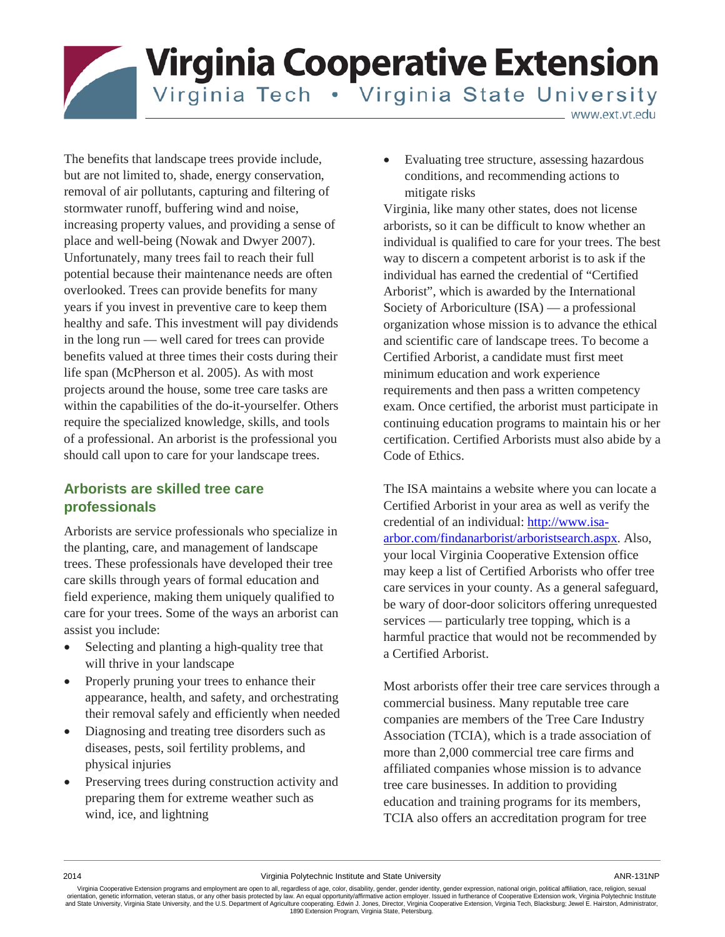**Virginia Cooperative Extension** Virginia Tech . Virginia State University

www.ext.vt.edu

The benefits that landscape trees provide include, but are not limited to, shade, energy conservation, removal of air pollutants, capturing and filtering of stormwater runoff, buffering wind and noise, increasing property values, and providing a sense of place and well-being (Nowak and Dwyer 2007). Unfortunately, many trees fail to reach their full potential because their maintenance needs are often overlooked. Trees can provide benefits for many years if you invest in preventive care to keep them healthy and safe. This investment will pay dividends in the long run — well cared for trees can provide benefits valued at three times their costs during their life span (McPherson et al. 2005). As with most projects around the house, some tree care tasks are within the capabilities of the do-it-yourselfer. Others require the specialized knowledge, skills, and tools of a professional. An arborist is the professional you should call upon to care for your landscape trees.

## **Arborists are skilled tree care professionals**

Arborists are service professionals who specialize in the planting, care, and management of landscape trees. These professionals have developed their tree care skills through years of formal education and field experience, making them uniquely qualified to care for your trees. Some of the ways an arborist can assist you include:

- Selecting and planting a high-quality tree that will thrive in your landscape
- Properly pruning your trees to enhance their appearance, health, and safety, and orchestrating their removal safely and efficiently when needed
- Diagnosing and treating tree disorders such as diseases, pests, soil fertility problems, and physical injuries
- Preserving trees during construction activity and preparing them for extreme weather such as wind, ice, and lightning

• Evaluating tree structure, assessing hazardous conditions, and recommending actions to mitigate risks

Virginia, like many other states, does not license arborists, so it can be difficult to know whether an individual is qualified to care for your trees. The best way to discern a competent arborist is to ask if the individual has earned the credential of "Certified Arborist", which is awarded by the International Society of Arboriculture (ISA) — a professional organization whose mission is to advance the ethical and scientific care of landscape trees. To become a Certified Arborist, a candidate must first meet minimum education and work experience requirements and then pass a written competency exam. Once certified, the arborist must participate in continuing education programs to maintain his or her certification. Certified Arborists must also abide by a Code of Ethics.

The ISA maintains a website where you can locate a Certified Arborist in your area as well as verify the credential of an individual: [http://www.isa](http://www.isa-arbor.com/findanarborist/arboristsearch.aspx)[arbor.com/findanarborist/arboristsearch.aspx.](http://www.isa-arbor.com/findanarborist/arboristsearch.aspx) Also, your local Virginia Cooperative Extension office may keep a list of Certified Arborists who offer tree care services in your county. As a general safeguard, be wary of door-door solicitors offering unrequested services — particularly tree topping, which is a harmful practice that would not be recommended by a Certified Arborist.

Most arborists offer their tree care services through a commercial business. Many reputable tree care companies are members of the Tree Care Industry Association (TCIA), which is a trade association of more than 2,000 commercial tree care firms and affiliated companies whose mission is to advance tree care businesses. In addition to providing education and training programs for its members, TCIA also offers an accreditation program for tree

Virginia Cooperative Extension programs and employment are open to all, regardless of age, color, disability, gender, gender identity, gender expression, national origin, political affiliation, race, religion, sexual orientation, genetic information, veteran status, or any other basis protected by law. An equal opportunity/affirmative action employer. Issued in furtherance of Cooperative Extension work, Virginia Polytechnic Institute<br>a 1890 Extension Program, Virginia State, Petersburg.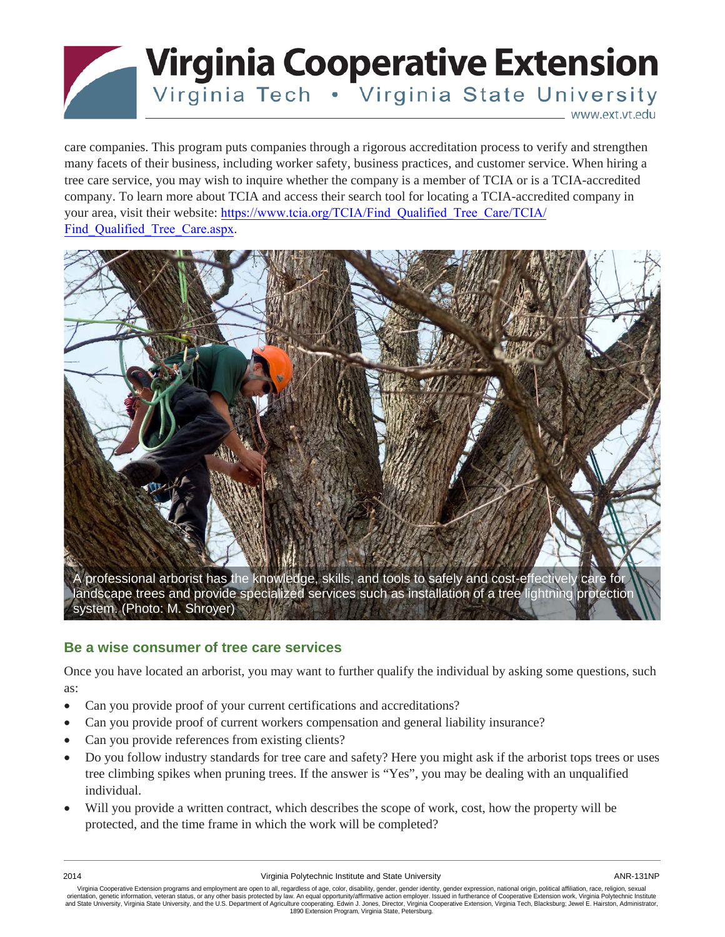

care companies. This program puts companies through a rigorous accreditation process to verify and strengthen many facets of their business, including worker safety, business practices, and customer service. When hiring a tree care service, you may wish to inquire whether the company is a member of TCIA or is a TCIA-accredited company. To learn more about TCIA and access their search tool for locating a TCIA-accredited company in your area, visit their website: [https://www.tcia.org/TCIA/Find\\_Qualified\\_Tree\\_Care/TCIA/](https://www.tcia.org/TCIA/Find_Qualified_Tree_Care/TCIA/Find_Qualified_Tree_Care.aspx) Find Qualified Tree Care.aspx.



## **Be a wise consumer of tree care services**

Once you have located an arborist, you may want to further qualify the individual by asking some questions, such as:

- Can you provide proof of your current certifications and accreditations?
- Can you provide proof of current workers compensation and general liability insurance?
- Can you provide references from existing clients?
- Do you follow industry standards for tree care and safety? Here you might ask if the arborist tops trees or uses tree climbing spikes when pruning trees. If the answer is "Yes", you may be dealing with an unqualified individual.
- Will you provide a written contract, which describes the scope of work, cost, how the property will be protected, and the time frame in which the work will be completed?

Virginia Cooperative Extension programs and employment are open to all, regardless of age, color, disability, gender, gender identity, gender expression, national origin, political affiliation, race, religion, sexual orientation, genetic information, veteran status, or any other basis protected by law. An equal opportunity/affirmative action employer. Issued in furtherance of Cooperative Extension work, Virginia Polytechnic Institute<br>a 1890 Extension Program, Virginia State, Petersburg.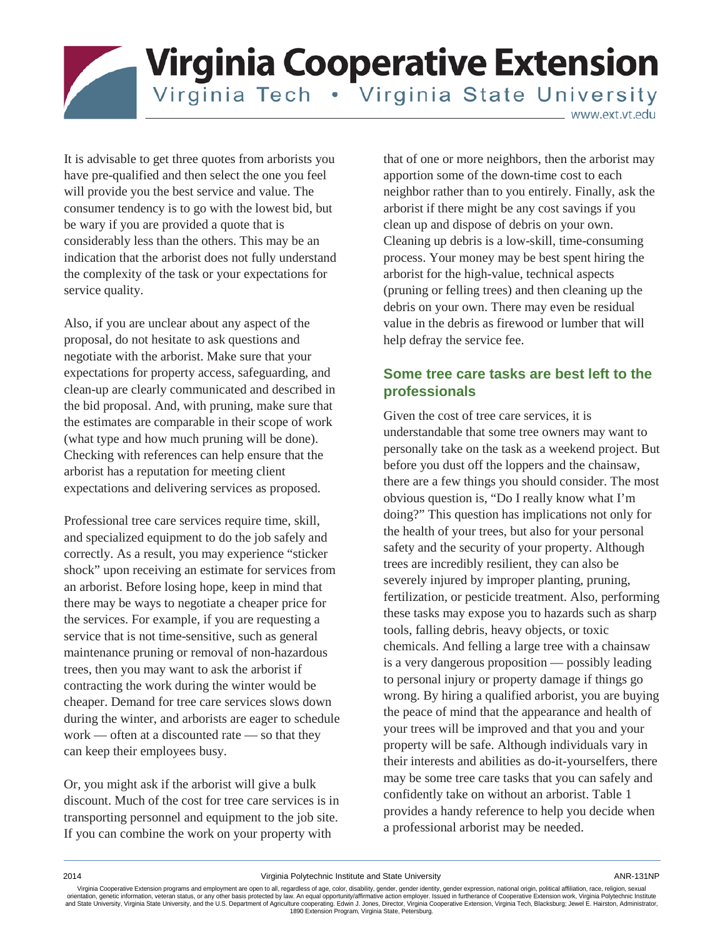**Virginia Cooperative Extension** Virginia Tech . Virginia State University

www.ext.vt.edu

It is advisable to get three quotes from arborists you have pre-qualified and then select the one you feel will provide you the best service and value. The consumer tendency is to go with the lowest bid, but be wary if you are provided a quote that is considerably less than the others. This may be an indication that the arborist does not fully understand the complexity of the task or your expectations for service quality.

Also, if you are unclear about any aspect of the proposal, do not hesitate to ask questions and negotiate with the arborist. Make sure that your expectations for property access, safeguarding, and clean-up are clearly communicated and described in the bid proposal. And, with pruning, make sure that the estimates are comparable in their scope of work (what type and how much pruning will be done). Checking with references can help ensure that the arborist has a reputation for meeting client expectations and delivering services as proposed.

Professional tree care services require time, skill, and specialized equipment to do the job safely and correctly. As a result, you may experience "sticker shock" upon receiving an estimate for services from an arborist. Before losing hope, keep in mind that there may be ways to negotiate a cheaper price for the services. For example, if you are requesting a service that is not time-sensitive, such as general maintenance pruning or removal of non-hazardous trees, then you may want to ask the arborist if contracting the work during the winter would be cheaper. Demand for tree care services slows down during the winter, and arborists are eager to schedule work — often at a discounted rate — so that they can keep their employees busy.

Or, you might ask if the arborist will give a bulk discount. Much of the cost for tree care services is in transporting personnel and equipment to the job site. If you can combine the work on your property with

that of one or more neighbors, then the arborist may apportion some of the down-time cost to each neighbor rather than to you entirely. Finally, ask the arborist if there might be any cost savings if you clean up and dispose of debris on your own. Cleaning up debris is a low-skill, time-consuming process. Your money may be best spent hiring the arborist for the high-value, technical aspects (pruning or felling trees) and then cleaning up the debris on your own. There may even be residual value in the debris as firewood or lumber that will help defray the service fee.

## **Some tree care tasks are best left to the professionals**

Given the cost of tree care services, it is understandable that some tree owners may want to personally take on the task as a weekend project. But before you dust off the loppers and the chainsaw, there are a few things you should consider. The most obvious question is, "Do I really know what I'm doing?" This question has implications not only for the health of your trees, but also for your personal safety and the security of your property. Although trees are incredibly resilient, they can also be severely injured by improper planting, pruning, fertilization, or pesticide treatment. Also, performing these tasks may expose you to hazards such as sharp tools, falling debris, heavy objects, or toxic chemicals. And felling a large tree with a chainsaw is a very dangerous proposition — possibly leading to personal injury or property damage if things go wrong. By hiring a qualified arborist, you are buying the peace of mind that the appearance and health of your trees will be improved and that you and your property will be safe. Although individuals vary in their interests and abilities as do-it-yourselfers, there may be some tree care tasks that you can safely and confidently take on without an arborist. Table 1 provides a handy reference to help you decide when a professional arborist may be needed.

2014 Virginia Polytechnic Institute and State University ANR-131NP

Virginia Cooperative Extension programs and employment are open to all, regardless of age, color, disability, gender, gender identity, gender expression, national origin, political affiliation, race, religion, sexual orientation, genetic information, veteran status, or any other basis protected by law. An equal opportunity/affirmative action employer. Issued in furtherance of Cooperative Extension work, Virginia Polytechnic Institute<br>a 1890 Extension Program, Virginia State, Petersburg.